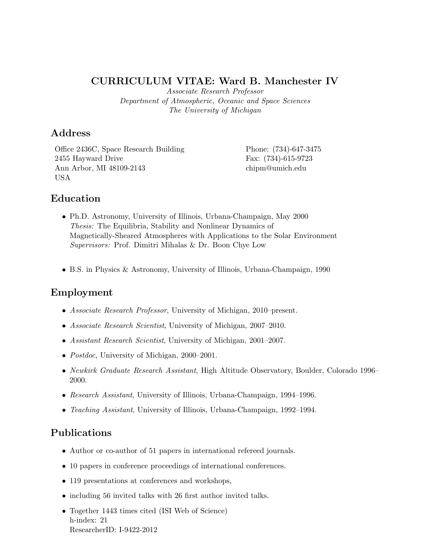## CURRICULUM VITAE: Ward B. Manchester IV

Associate Research Professor Department of Atmospheric, Oceanic and Space Sciences The University of Michigan

## Address

Office 2436C, Space Research Building Phone: (734)-647-3475 2455 Hayward Drive Fax: (734)-615-9723 Ann Arbor, MI 48109-2143 chipm@umich.edu USA

# Education

- Ph.D. Astronomy, University of Illinois, Urbana-Champaign, May 2000 Thesis: The Equilibria, Stability and Nonlinear Dynamics of Magnetically-Sheared Atmospheres with Applications to the Solar Environment Supervisors: Prof. Dimitri Mihalas & Dr. Boon Chye Low
- B.S. in Physics & Astronomy, University of Illinois, Urbana-Champaign, 1990

# Employment

- Associate Research Professor, University of Michigan, 2010–present.
- Associate Research Scientist, University of Michigan, 2007–2010.
- Assistant Research Scientist, University of Michigan, 2001–2007.
- *Postdoc*, University of Michigan, 2000–2001.
- Newkirk Graduate Research Assistant, High Altitude Observatory, Boulder, Colorado 1996– 2000.
- Research Assistant, University of Illinois, Urbana-Champaign, 1994–1996.
- Teaching Assistant, University of Illinois, Urbana-Champaign, 1992–1994.

# Publications

- Author or co-author of 51 papers in international refereed journals.
- 10 papers in conference proceedings of international conferences.
- 119 presentations at conferences and workshops,
- including 56 invited talks with 26 first author invited talks.
- Together 1443 times cited (ISI Web of Science) h-index: 21 ResearcherID: I-9422-2012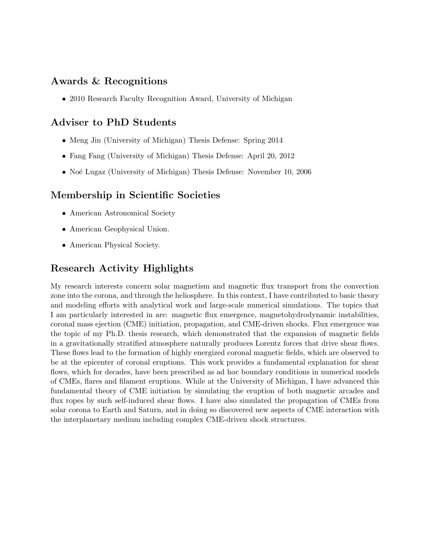## Awards & Recognitions

• 2010 Research Faculty Recognition Award, University of Michigan

# Adviser to PhD Students

- Meng Jin (University of Michigan) Thesis Defense: Spring 2014
- Fang Fang (University of Michigan) Thesis Defense: April 20, 2012
- Noé Lugaz (University of Michigan) Thesis Defense: November 10, 2006

# Membership in Scientific Societies

- American Astronomical Society
- American Geophysical Union.
- American Physical Society.

# Research Activity Highlights

My research interests concern solar magnetism and magnetic flux transport from the convection zone into the corona, and through the heliosphere. In this context, I have contributed to basic theory and modeling efforts with analytical work and large-scale numerical simulations. The topics that I am particularly interested in are: magnetic flux emergence, magnetohydrodynamic instabilities, coronal mass ejection (CME) initiation, propagation, and CME-driven shocks. Flux emergence was the topic of my Ph.D. thesis research, which demonstrated that the expansion of magnetic fields in a gravitationally stratified atmosphere naturally produces Lorentz forces that drive shear flows. These flows lead to the formation of highly energized coronal magnetic fields, which are observed to be at the epicenter of coronal eruptions. This work provides a fundamental explanation for shear flows, which for decades, have been prescribed as ad hoc boundary conditions in numerical models of CMEs, flares and filament eruptions. While at the University of Michigan, I have advanced this fundamental theory of CME initiation by simulating the eruption of both magnetic arcades and flux ropes by such self-induced shear flows. I have also simulated the propagation of CMEs from solar corona to Earth and Saturn, and in doing so discovered new aspects of CME interaction with the interplanetary medium including complex CME-driven shock structures.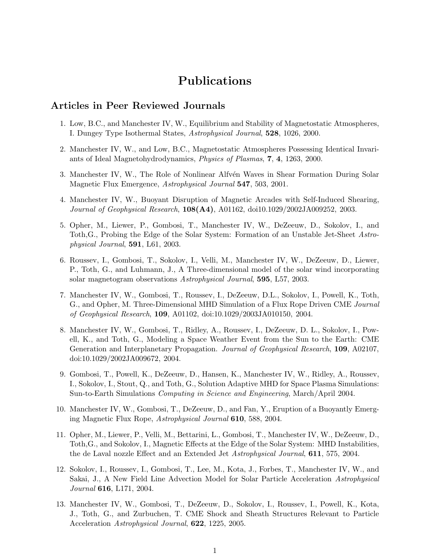# Publications

### Articles in Peer Reviewed Journals

- 1. Low, B.C., and Manchester IV, W., Equilibrium and Stability of Magnetostatic Atmospheres, I. Dungey Type Isothermal States, Astrophysical Journal, 528, 1026, 2000.
- 2. Manchester IV, W., and Low, B.C., Magnetostatic Atmospheres Possessing Identical Invariants of Ideal Magnetohydrodynamics, Physics of Plasmas, 7, 4, 1263, 2000.
- 3. Manchester IV, W., The Role of Nonlinear Alfvén Waves in Shear Formation During Solar Magnetic Flux Emergence, Astrophysical Journal 547, 503, 2001.
- 4. Manchester IV, W., Buoyant Disruption of Magnetic Arcades with Self-Induced Shearing, *Journal of Geophysical Research*,  $108(A4)$ ,  $A01162$ ,  $doi10.1029/2002JA009252$ , 2003.
- 5. Opher, M., Liewer, P., Gombosi, T., Manchester IV, W., DeZeeuw, D., Sokolov, I., and Toth,G., Probing the Edge of the Solar System: Formation of an Unstable Jet-Sheet Astrophysical Journal, 591, L61, 2003.
- 6. Roussev, I., Gombosi, T., Sokolov, I., Velli, M., Manchester IV, W., DeZeeuw, D., Liewer, P., Toth, G., and Luhmann, J., A Three-dimensional model of the solar wind incorporating solar magnetogram observations Astrophysical Journal, 595, L57, 2003.
- 7. Manchester IV, W., Gombosi, T., Roussev, I., DeZeeuw, D.L., Sokolov, I., Powell, K., Toth, G., and Opher, M. Three-Dimensional MHD Simulation of a Flux Rope Driven CME Journal of Geophysical Research, 109, A01102, doi:10.1029/2003JA010150, 2004.
- 8. Manchester IV, W., Gombosi, T., Ridley, A., Roussev, I., DeZeeuw, D. L., Sokolov, I., Powell, K., and Toth, G., Modeling a Space Weather Event from the Sun to the Earth: CME Generation and Interplanetary Propagation. Journal of Geophysical Research, 109, A02107, doi:10.1029/2002JA009672, 2004.
- 9. Gombosi, T., Powell, K., DeZeeuw, D., Hansen, K., Manchester IV, W., Ridley, A., Roussev, I., Sokolov, I., Stout, Q., and Toth, G., Solution Adaptive MHD for Space Plasma Simulations: Sun-to-Earth Simulations Computing in Science and Engineering, March/April 2004.
- 10. Manchester IV, W., Gombosi, T., DeZeeuw, D., and Fan, Y., Eruption of a Buoyantly Emerging Magnetic Flux Rope, Astrophysical Journal 610, 588, 2004.
- 11. Opher, M., Liewer, P., Velli, M., Bettarini, L., Gombosi, T., Manchester IV, W., DeZeeuw, D., Toth,G., and Sokolov, I., Magnetic Effects at the Edge of the Solar System: MHD Instabilities, the de Laval nozzle Effect and an Extended Jet Astrophysical Journal, 611, 575, 2004.
- 12. Sokolov, I., Roussev, I., Gombosi, T., Lee, M., Kota, J., Forbes, T., Manchester IV, W., and Sakai, J., A New Field Line Advection Model for Solar Particle Acceleration Astrophysical Journal 616, L171, 2004.
- 13. Manchester IV, W., Gombosi, T., DeZeeuw, D., Sokolov, I., Roussev, I., Powell, K., Kota, J., Toth, G., and Zurbuchen, T. CME Shock and Sheath Structures Relevant to Particle Acceleration Astrophysical Journal, 622, 1225, 2005.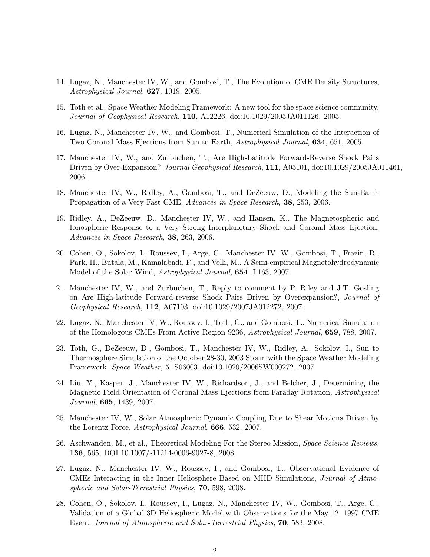- 14. Lugaz, N., Manchester IV, W., and Gombosi, T., The Evolution of CME Density Structures, Astrophysical Journal, 627, 1019, 2005.
- 15. Toth et al., Space Weather Modeling Framework: A new tool for the space science community, Journal of Geophysical Research, 110, A12226, doi:10.1029/2005JA011126, 2005.
- 16. Lugaz, N., Manchester IV, W., and Gombosi, T., Numerical Simulation of the Interaction of Two Coronal Mass Ejections from Sun to Earth, Astrophysical Journal, 634, 651, 2005.
- 17. Manchester IV, W., and Zurbuchen, T., Are High-Latitude Forward-Reverse Shock Pairs Driven by Over-Expansion? Journal Geophysical Research, 111, A05101, doi:10.1029/2005JA011461, 2006.
- 18. Manchester IV, W., Ridley, A., Gombosi, T., and DeZeeuw, D., Modeling the Sun-Earth Propagation of a Very Fast CME, Advances in Space Research, 38, 253, 2006.
- 19. Ridley, A., DeZeeuw, D., Manchester IV, W., and Hansen, K., The Magnetospheric and Ionospheric Response to a Very Strong Interplanetary Shock and Coronal Mass Ejection, Advances in Space Research, 38, 263, 2006.
- 20. Cohen, O., Sokolov, I., Roussev, I., Arge, C., Manchester IV, W., Gombosi, T., Frazin, R., Park, H., Butala, M., Kamalabadi, F., and Velli, M., A Semi-empirical Magnetohydrodynamic Model of the Solar Wind, Astrophysical Journal, 654, L163, 2007.
- 21. Manchester IV, W., and Zurbuchen, T., Reply to comment by P. Riley and J.T. Gosling on Are High-latitude Forward-reverse Shock Pairs Driven by Overexpansion?, Journal of Geophysical Research, 112, A07103, doi:10.1029/2007JA012272, 2007.
- 22. Lugaz, N., Manchester IV, W., Roussev, I., Toth, G., and Gombosi, T., Numerical Simulation of the Homologous CMEs From Active Region 9236, Astrophysical Journal, 659, 788, 2007.
- 23. Toth, G., DeZeeuw, D., Gombosi, T., Manchester IV, W., Ridley, A., Sokolov, I., Sun to Thermosphere Simulation of the October 28-30, 2003 Storm with the Space Weather Modeling Framework, Space Weather, 5, S06003, doi:10.1029/2006SW000272, 2007.
- 24. Liu, Y., Kasper, J., Manchester IV, W., Richardson, J., and Belcher, J., Determining the Magnetic Field Orientation of Coronal Mass Ejections from Faraday Rotation, Astrophysical Journal, 665, 1439, 2007.
- 25. Manchester IV, W., Solar Atmospheric Dynamic Coupling Due to Shear Motions Driven by the Lorentz Force, Astrophysical Journal, 666, 532, 2007.
- 26. Aschwanden, M., et al., Theoretical Modeling For the Stereo Mission, Space Science Reviews, 136, 565, DOI 10.1007/s11214-0006-9027-8, 2008.
- 27. Lugaz, N., Manchester IV, W., Roussev, I., and Gombosi, T., Observational Evidence of CMEs Interacting in the Inner Heliosphere Based on MHD Simulations, Journal of Atmospheric and Solar-Terrestrial Physics, 70, 598, 2008.
- 28. Cohen, O., Sokolov, I., Roussev, I., Lugaz, N., Manchester IV, W., Gombosi, T., Arge, C., Validation of a Global 3D Heliospheric Model with Observations for the May 12, 1997 CME Event, Journal of Atmospheric and Solar-Terrestrial Physics, 70, 583, 2008.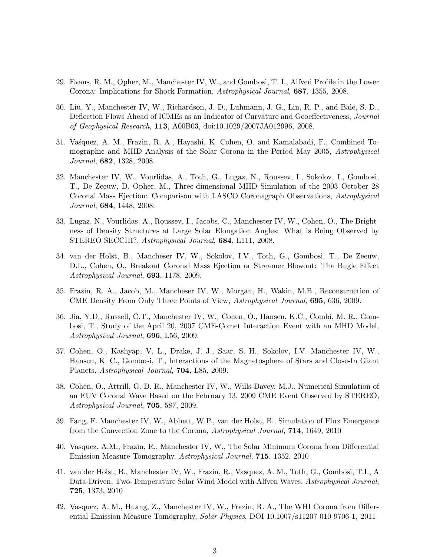- 29. Evans, R. M., Opher, M., Manchester IV, W., and Gombosi, T. I., Alfven Profile in the Lower Corona: Implications for Shock Formation, Astrophysical Journal, 687, 1355, 2008.
- 30. Liu, Y., Manchester IV, W., Richardson, J. D., Luhmann, J. G., Lin, R. P., and Bale, S. D., Deflection Flows Ahead of ICMEs as an Indicator of Curvature and Geoeffectiveness, Journal of Geophysical Research, 113, A00B03, doi:10.1029/2007JA012996, 2008.
- 31. Vasquez, A. M., Frazin, R. A., Hayashi, K. Cohen, O. and Kamalabadi, F., Combined Tomographic and MHD Analysis of the Solar Corona in the Period May 2005, Astrophysical Journal, 682, 1328, 2008.
- 32. Manchester IV, W., Vourlidas, A., Toth, G., Lugaz, N., Roussev, I., Sokolov, I., Gombosi, T., De Zeeuw, D. Opher, M., Three-dimensional MHD Simulation of the 2003 October 28 Coronal Mass Ejection: Comparison with LASCO Coronagraph Observations, Astrophysical Journal, 684, 1448, 2008.
- 33. Lugaz, N., Vourlidas, A., Roussev, I., Jacobs, C., Manchester IV, W., Cohen, O., The Brightness of Density Structures at Large Solar Elongation Angles: What is Being Observed by STEREO SECCHI?, Astrophysical Journal, 684, L111, 2008.
- 34. van der Holst, B., Mancheser IV, W., Sokolov, I.V., Toth, G., Gombosi, T., De Zeeuw, D.L., Cohen, O., Breakout Coronal Mass Ejection or Streamer Blowout: The Bugle Effect Astrophysical Journal, 693, 1178, 2009.
- 35. Frazin, R. A., Jacob, M., Mancheser IV, W., Morgan, H., Wakin, M.B., Reconstruction of CME Density From Only Three Points of View, Astrophysical Journal, 695, 636, 2009.
- 36. Jia, Y.D., Russell, C.T., Manchester IV, W., Cohen, O., Hansen, K.C., Combi, M. R., Gombosi, T., Study of the April 20, 2007 CME-Comet Interaction Event with an MHD Model, Astrophysical Journal, 696, L56, 2009.
- 37. Cohen, O., Kashyap, V. L., Drake, J. J., Saar, S. H., Sokolov, I.V. Manchester IV, W., Hansen, K. C., Gombosi, T., Interactions of the Magnetosphere of Stars and Close-In Giant Planets, Astrophysical Journal, 704, L85, 2009.
- 38. Cohen, O., Attrill, G. D. R., Manchester IV, W., Wills-Davey, M.J., Numerical Simulation of an EUV Coronal Wave Based on the February 13, 2009 CME Event Observed by STEREO, Astrophysical Journal, 705, 587, 2009.
- 39. Fang, F. Manchester IV, W., Abbett, W.P., van der Holst, B., Simulation of Flux Emergence from the Convection Zone to the Corona, Astrophysical Journal, 714, 1649, 2010
- 40. Vasquez, A.M., Frazin, R., Manchester IV, W., The Solar Minimum Corona from Differential Emission Measure Tomography, Astrophysical Journal, 715, 1352, 2010
- 41. van der Holst, B., Manchester IV, W., Frazin, R., Vasquez, A. M., Toth, G., Gombosi, T.I., A Data-Driven, Two-Temperature Solar Wind Model with Alfven Waves, Astrophysical Journal, 725, 1373, 2010
- 42. Vasquez, A. M., Huang, Z., Manchester IV, W., Frazin, R. A., The WHI Corona from Differential Emission Measure Tomography, Solar Physics, DOI 10.1007/s11207-010-9706-1, 2011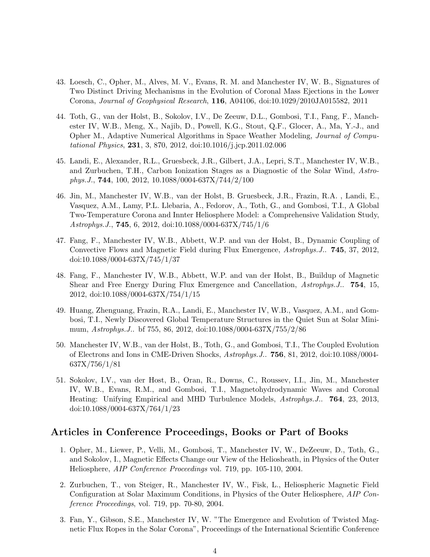- 43. Loesch, C., Opher, M., Alves, M. V., Evans, R. M. and Manchester IV, W. B., Signatures of Two Distinct Driving Mechanisms in the Evolution of Coronal Mass Ejections in the Lower Corona, Journal of Geophysical Research, 116, A04106, doi:10.1029/2010JA015582, 2011
- 44. Toth, G., van der Holst, B., Sokolov, I.V., De Zeeuw, D.L., Gombosi, T.I., Fang, F., Manchester IV, W.B., Meng, X., Najib, D., Powell, K.G., Stout, Q.F., Glocer, A., Ma, Y.-J., and Opher M., Adaptive Numerical Algorithms in Space Weather Modeling, Journal of Computational Physics, 231, 3, 870, 2012, doi:10.1016/j.jcp.2011.02.006
- 45. Landi, E., Alexander, R.L., Gruesbeck, J.R., Gilbert, J.A., Lepri, S.T., Manchester IV, W.B., and Zurbuchen, T.H., Carbon Ionization Stages as a Diagnostic of the Solar Wind, Astrophys.J., 744, 100, 2012, 10.1088/0004-637X/744/2/100
- 46. Jin, M., Manchester IV, W.B., van der Holst, B. Gruesbeck, J.R., Frazin, R.A. , Landi, E., Vasquez, A.M., Lamy, P.L. Llebaria, A., Fedorov, A., Toth, G., and Gombosi, T.I., A Global Two-Temperature Corona and Innter Heliosphere Model: a Comprehensive Validation Study, Astrophys.J., 745, 6, 2012, doi:10.1088/0004-637X/745/1/6
- 47. Fang, F., Manchester IV, W.B., Abbett, W.P. and van der Holst, B., Dynamic Coupling of Convective Flows and Magnetic Field during Flux Emergence, Astrophys.J.. **745**, 37, 2012, doi:10.1088/0004-637X/745/1/37
- 48. Fang, F., Manchester IV, W.B., Abbett, W.P. and van der Holst, B., Buildup of Magnetic Shear and Free Energy During Flux Emergence and Cancellation, Astrophys.J.. 754, 15, 2012, doi:10.1088/0004-637X/754/1/15
- 49. Huang, Zhenguang, Frazin, R.A., Landi, E., Manchester IV, W.B., Vasquez, A.M., and Gombosi, T.I., Newly Discovered Global Temperature Structures in the Quiet Sun at Solar Minimum, Astrophys.J.. bf 755, 86, 2012, doi:10.1088/0004-637X/755/2/86
- 50. Manchester IV, W.B., van der Holst, B., Toth, G., and Gombosi, T.I., The Coupled Evolution of Electrons and Ions in CME-Driven Shocks, Astrophys.J.. 756, 81, 2012, doi:10.1088/0004- 637X/756/1/81
- 51. Sokolov, I.V., van der Host, B., Oran, R., Downs, C., Roussev, I.I., Jin, M., Manchester IV, W.B., Evans, R.M., and Gombosi, T.I., Magnetohydrodynamic Waves and Coronal Heating: Unifying Empirical and MHD Turbulence Models, Astrophys.J.. 764, 23, 2013, doi:10.1088/0004-637X/764/1/23

### Articles in Conference Proceedings, Books or Part of Books

- 1. Opher, M., Liewer, P., Velli, M., Gombosi, T., Manchester IV, W., DeZeeuw, D., Toth, G., and Sokolov, I., Magnetic Effects Change our View of the Heliosheath, in Physics of the Outer Heliosphere, AIP Conference Proceedings vol. 719, pp. 105-110, 2004.
- 2. Zurbuchen, T., von Steiger, R., Manchester IV, W., Fisk, L., Heliospheric Magnetic Field Configuration at Solar Maximum Conditions, in Physics of the Outer Heliosphere, AIP Conference Proceedings, vol. 719, pp. 70-80, 2004.
- 3. Fan, Y., Gibson, S.E., Manchester IV, W. "The Emergence and Evolution of Twisted Magnetic Flux Ropes in the Solar Corona", Proceedings of the International Scientific Conference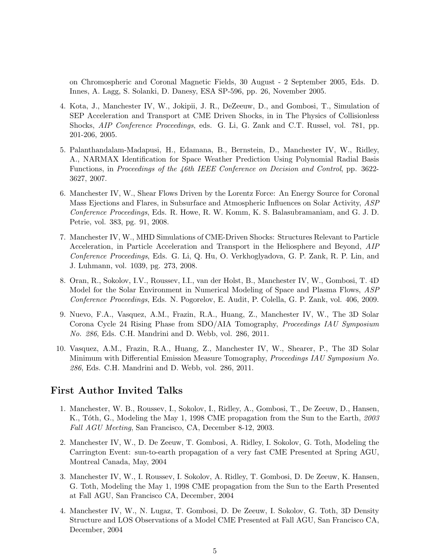on Chromospheric and Coronal Magnetic Fields, 30 August - 2 September 2005, Eds. D. Innes, A. Lagg, S. Solanki, D. Danesy, ESA SP-596, pp. 26, November 2005.

- 4. Kota, J., Manchester IV, W., Jokipii, J. R., DeZeeuw, D., and Gombosi, T., Simulation of SEP Acceleration and Transport at CME Driven Shocks, in in The Physics of Collisionless Shocks, AIP Conference Proceedings, eds. G. Li, G. Zank and C.T. Russel, vol. 781, pp. 201-206, 2005.
- 5. Palanthandalam-Madapusi, H., Edamana, B., Bernstein, D., Manchester IV, W., Ridley, A., NARMAX Identification for Space Weather Prediction Using Polynomial Radial Basis Functions, in Proceedings of the 46th IEEE Conference on Decision and Control, pp. 3622- 3627, 2007.
- 6. Manchester IV, W., Shear Flows Driven by the Lorentz Force: An Energy Source for Coronal Mass Ejections and Flares, in Subsurface and Atmospheric Influences on Solar Activity, ASP Conference Proceedings, Eds. R. Howe, R. W. Komm, K. S. Balasubramaniam, and G. J. D. Petrie, vol. 383, pg. 91, 2008.
- 7. Manchester IV, W., MHD Simulations of CME-Driven Shocks: Structures Relevant to Particle Acceleration, in Particle Acceleration and Transport in the Heliosphere and Beyond, AIP Conference Proceedings, Eds. G. Li, Q. Hu, O. Verkhoglyadova, G. P. Zank, R. P. Lin, and J. Luhmann, vol. 1039, pg. 273, 2008.
- 8. Oran, R., Sokolov, I.V., Roussev, I.I., van der Holst, B., Manchester IV, W., Gombosi, T. 4D Model for the Solar Environment in Numerical Modeling of Space and Plasma Flows, ASP Conference Proceedings, Eds. N. Pogorelov, E. Audit, P. Colella, G. P. Zank, vol. 406, 2009.
- 9. Nuevo, F.A., Vasquez, A.M., Frazin, R.A., Huang, Z., Manchester IV, W., The 3D Solar Corona Cycle 24 Rising Phase from SDO/AIA Tomography, Proceedings IAU Symposium No. 286, Eds. C.H. Mandrini and D. Webb, vol. 286, 2011.
- 10. Vasquez, A.M., Frazin, R.A., Huang, Z., Manchester IV, W., Shearer, P., The 3D Solar Minimum with Differential Emission Measure Tomography, Proceedings IAU Symposium No. 286, Eds. C.H. Mandrini and D. Webb, vol. 286, 2011.

### First Author Invited Talks

- 1. Manchester, W. B., Roussev, I., Sokolov, I., Ridley, A., Gombosi, T., De Zeeuw, D., Hansen, K., Tôth, G., Modeling the May 1, 1998 CME propagation from the Sun to the Earth, 2003 Fall AGU Meeting, San Francisco, CA, December 8-12, 2003.
- 2. Manchester IV, W., D. De Zeeuw, T. Gombosi, A. Ridley, I. Sokolov, G. Toth, Modeling the Carrington Event: sun-to-earth propagation of a very fast CME Presented at Spring AGU, Montreal Canada, May, 2004
- 3. Manchester IV, W., I. Roussev, I. Sokolov, A. Ridley, T. Gombosi, D. De Zeeuw, K. Hansen, G. Toth, Modeling the May 1, 1998 CME propagation from the Sun to the Earth Presented at Fall AGU, San Francisco CA, December, 2004
- 4. Manchester IV, W., N. Lugaz, T. Gombosi, D. De Zeeuw, I. Sokolov, G. Toth, 3D Density Structure and LOS Observations of a Model CME Presented at Fall AGU, San Francisco CA, December, 2004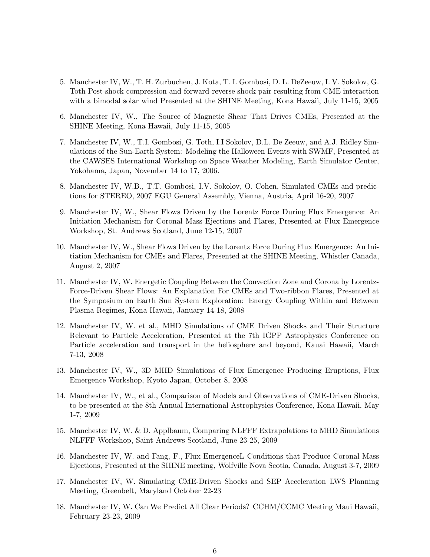- 5. Manchester IV, W., T. H. Zurbuchen, J. Kota, T. I. Gombosi, D. L. DeZeeuw, I. V. Sokolov, G. Toth Post-shock compression and forward-reverse shock pair resulting from CME interaction with a bimodal solar wind Presented at the SHINE Meeting, Kona Hawaii, July 11-15, 2005
- 6. Manchester IV, W., The Source of Magnetic Shear That Drives CMEs, Presented at the SHINE Meeting, Kona Hawaii, July 11-15, 2005
- 7. Manchester IV, W., T.I. Gombosi, G. Toth, I.I Sokolov, D.L. De Zeeuw, and A.J. Ridley Simulations of the Sun-Earth System: Modeling the Halloween Events with SWMF, Presented at the CAWSES International Workshop on Space Weather Modeling, Earth Simulator Center, Yokohama, Japan, November 14 to 17, 2006.
- 8. Manchester IV, W.B., T.T. Gombosi, I.V. Sokolov, O. Cohen, Simulated CMEs and predictions for STEREO, 2007 EGU General Assembly, Vienna, Austria, April 16-20, 2007
- 9. Manchester IV, W., Shear Flows Driven by the Lorentz Force During Flux Emergence: An Initiation Mechanism for Coronal Mass Ejections and Flares, Presented at Flux Emergence Workshop, St. Andrews Scotland, June 12-15, 2007
- 10. Manchester IV, W., Shear Flows Driven by the Lorentz Force During Flux Emergence: An Initiation Mechanism for CMEs and Flares, Presented at the SHINE Meeting, Whistler Canada, August 2, 2007
- 11. Manchester IV, W. Energetic Coupling Between the Convection Zone and Corona by Lorentz-Force-Driven Shear Flows: An Explanation For CMEs and Two-ribbon Flares, Presented at the Symposium on Earth Sun System Exploration: Energy Coupling Within and Between Plasma Regimes, Kona Hawaii, January 14-18, 2008
- 12. Manchester IV, W. et al., MHD Simulations of CME Driven Shocks and Their Structure Relevant to Particle Acceleration, Presented at the 7th IGPP Astrophysics Conference on Particle acceleration and transport in the heliosphere and beyond, Kauai Hawaii, March 7-13, 2008
- 13. Manchester IV, W., 3D MHD Simulations of Flux Emergence Producing Eruptions, Flux Emergence Workshop, Kyoto Japan, October 8, 2008
- 14. Manchester IV, W., et al., Comparison of Models and Observations of CME-Driven Shocks, to be presented at the 8th Annual International Astrophysics Conference, Kona Hawaii, May 1-7, 2009
- 15. Manchester IV, W. & D. Applbaum, Comparing NLFFF Extrapolations to MHD Simulations NLFFF Workshop, Saint Andrews Scotland, June 23-25, 2009
- 16. Manchester IV, W. and Fang, F., Flux EmergenceL Conditions that Produce Coronal Mass Ejections, Presented at the SHINE meeting, Wolfville Nova Scotia, Canada, August 3-7, 2009
- 17. Manchester IV, W. Simulating CME-Driven Shocks and SEP Acceleration LWS Planning Meeting, Greenbelt, Maryland October 22-23
- 18. Manchester IV, W. Can We Predict All Clear Periods? CCHM/CCMC Meeting Maui Hawaii, February 23-23, 2009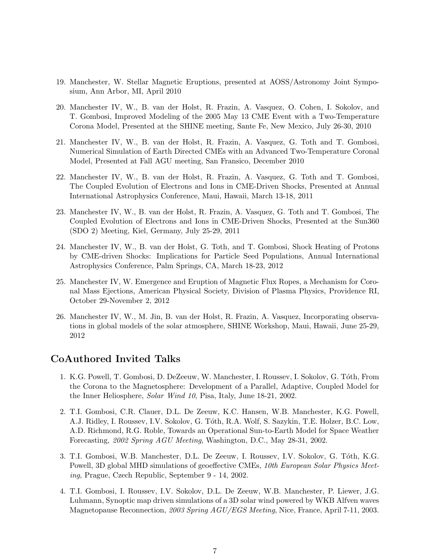- 19. Manchester, W. Stellar Magnetic Eruptions, presented at AOSS/Astronomy Joint Symposium, Ann Arbor, MI, April 2010
- 20. Manchester IV, W., B. van der Holst, R. Frazin, A. Vasquez, O. Cohen, I. Sokolov, and T. Gombosi, Improved Modeling of the 2005 May 13 CME Event with a Two-Temperature Corona Model, Presented at the SHINE meeting, Sante Fe, New Mexico, July 26-30, 2010
- 21. Manchester IV, W., B. van der Holst, R. Frazin, A. Vasquez, G. Toth and T. Gombosi, Numerical Simulation of Earth Directed CMEs with an Advanced Two-Temperature Coronal Model, Presented at Fall AGU meeting, San Fransico, December 2010
- 22. Manchester IV, W., B. van der Holst, R. Frazin, A. Vasquez, G. Toth and T. Gombosi, The Coupled Evolution of Electrons and Ions in CME-Driven Shocks, Presented at Annual International Astrophysics Conference, Maui, Hawaii, March 13-18, 2011
- 23. Manchester IV, W., B. van der Holst, R. Frazin, A. Vasquez, G. Toth and T. Gombosi, The Coupled Evolution of Electrons and Ions in CME-Driven Shocks, Presented at the Sun360 (SDO 2) Meeting, Kiel, Germany, July 25-29, 2011
- 24. Manchester IV, W., B. van der Holst, G. Toth, and T. Gombosi, Shock Heating of Protons by CME-driven Shocks: Implications for Particle Seed Populations, Annual International Astrophysics Conference, Palm Springs, CA, March 18-23, 2012
- 25. Manchester IV, W. Emergence and Eruption of Magnetic Flux Ropes, a Mechanism for Coronal Mass Ejections, American Physical Society, Division of Plasma Physics, Providence RI, October 29-November 2, 2012
- 26. Manchester IV, W., M. Jin, B. van der Holst, R. Frazin, A. Vasquez, Incorporating observations in global models of the solar atmosphere, SHINE Workshop, Maui, Hawaii, June 25-29, 2012

## CoAuthored Invited Talks

- 1. K.G. Powell, T. Gombosi, D. DeZeeuw, W. Manchester, I. Roussev, I. Sokolov, G. T´oth, From the Corona to the Magnetosphere: Development of a Parallel, Adaptive, Coupled Model for the Inner Heliosphere, Solar Wind 10, Pisa, Italy, June 18-21, 2002.
- 2. T.I. Gombosi, C.R. Clauer, D.L. De Zeeuw, K.C. Hansen, W.B. Manchester, K.G. Powell, A.J. Ridley, I. Roussev, I.V. Sokolov, G. Tóth, R.A. Wolf, S. Sazykin, T.E. Holzer, B.C. Low, A.D. Richmond, R.G. Roble, Towards an Operational Sun-to-Earth Model for Space Weather Forecasting, 2002 Spring AGU Meeting, Washington, D.C., May 28-31, 2002.
- 3. T.I. Gombosi, W.B. Manchester, D.L. De Zeeuw, I. Roussev, I.V. Sokolov, G. Tóth, K.G. Powell, 3D global MHD simulations of geoeffective CMEs, 10th European Solar Physics Meeting, Prague, Czech Republic, September 9 - 14, 2002.
- 4. T.I. Gombosi, I. Roussev, I.V. Sokolov, D.L. De Zeeuw, W.B. Manchester, P. Liewer, J.G. Luhmann, Synoptic map driven simulations of a 3D solar wind powered by WKB Alfven waves Magnetopause Reconnection, 2003 Spring AGU/EGS Meeting, Nice, France, April 7-11, 2003.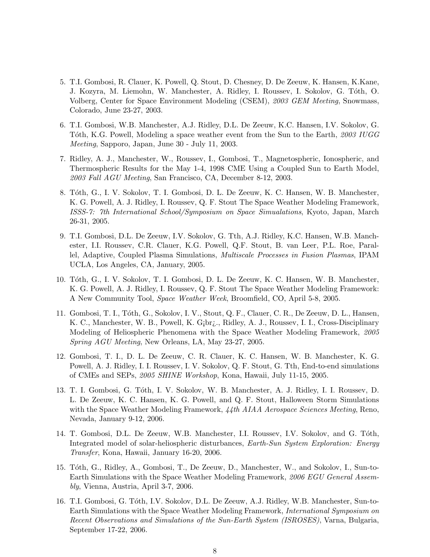- 5. T.I. Gombosi, R. Clauer, K. Powell, Q. Stout, D. Chesney, D. De Zeeuw, K. Hansen, K.Kane, J. Kozyra, M. Liemohn, W. Manchester, A. Ridley, I. Roussev, I. Sokolov, G. T´oth, O. Volberg, Center for Space Environment Modeling (CSEM), 2003 GEM Meeting, Snowmass, Colorado, June 23-27, 2003.
- 6. T.I. Gombosi, W.B. Manchester, A.J. Ridley, D.L. De Zeeuw, K.C. Hansen, I.V. Sokolov, G. Tóth, K.G. Powell, Modeling a space weather event from the Sun to the Earth, 2003 IUGG Meeting, Sapporo, Japan, June 30 - July 11, 2003.
- 7. Ridley, A. J., Manchester, W., Roussev, I., Gombosi, T., Magnetospheric, Ionospheric, and Thermospheric Results for the May 1-4, 1998 CME Using a Coupled Sun to Earth Model, 2003 Fall AGU Meeting, San Francisco, CA, December 8-12, 2003.
- 8. Tóth, G., I. V. Sokolov, T. I. Gombosi, D. L. De Zeeuw, K. C. Hansen, W. B. Manchester, K. G. Powell, A. J. Ridley, I. Roussev, Q. F. Stout The Space Weather Modeling Framework, ISSS-7: 7th International School/Symposium on Space Simualations, Kyoto, Japan, March 26-31, 2005.
- 9. T.I. Gombosi, D.L. De Zeeuw, I.V. Sokolov, G. Tth, A.J. Ridley, K.C. Hansen, W.B. Manchester, I.I. Roussev, C.R. Clauer, K.G. Powell, Q.F. Stout, B. van Leer, P.L. Roe, Parallel, Adaptive, Coupled Plasma Simulations, Multiscale Processes in Fusion Plasmas, IPAM UCLA, Los Angeles, CA, January, 2005.
- 10. Tóth, G., I. V. Sokolov, T. I. Gombosi, D. L. De Zeeuw, K. C. Hansen, W. B. Manchester, K. G. Powell, A. J. Ridley, I. Roussev, Q. F. Stout The Space Weather Modeling Framework: A New Community Tool, Space Weather Week, Broomfield, CO, April 5-8, 2005.
- 11. Gombosi, T. I., Tóth, G., Sokolov, I. V., Stout, Q. F., Clauer, C. R., De Zeeuw, D. L., Hansen, K. C., Manchester, W. B., Powell, K. G¡br¿., Ridley, A. J., Roussev, I. I., Cross-Disciplinary Modeling of Heliospheric Phenomena with the Space Weather Modeling Framework, 2005 Spring AGU Meeting, New Orleans, LA, May 23-27, 2005.
- 12. Gombosi, T. I., D. L. De Zeeuw, C. R. Clauer, K. C. Hansen, W. B. Manchester, K. G. Powell, A. J. Ridley, I. I. Roussev, I. V. Sokolov, Q. F. Stout, G. Tth, End-to-end simulations of CMEs and SEPs, 2005 SHINE Workshop, Kona, Hawaii, July 11-15, 2005.
- 13. T. I. Gombosi, G. T´oth, I. V. Sokolov, W. B. Manchester, A. J. Ridley, I. I. Roussev, D. L. De Zeeuw, K. C. Hansen, K. G. Powell, and Q. F. Stout, Halloween Storm Simulations with the Space Weather Modeling Framework, 44th AIAA Aerospace Sciences Meeting, Reno, Nevada, January 9-12, 2006.
- 14. T. Gombosi, D.L. De Zeeuw, W.B. Manchester, I.I. Roussev, I.V. Sokolov, and G. Tóth, Integrated model of solar-heliospheric disturbances, Earth-Sun System Exploration: Energy Transfer, Kona, Hawaii, January 16-20, 2006.
- 15. T´oth, G., Ridley, A., Gombosi, T., De Zeeuw, D., Manchester, W., and Sokolov, I., Sun-to-Earth Simulations with the Space Weather Modeling Framework, 2006 EGU General Assembly, Vienna, Austria, April 3-7, 2006.
- 16. T.I. Gombosi, G. T´oth, I.V. Sokolov, D.L. De Zeeuw, A.J. Ridley, W.B. Manchester, Sun-to-Earth Simulations with the Space Weather Modeling Framework, International Symposium on Recent Observations and Simulations of the Sun-Earth System (ISROSES), Varna, Bulgaria, September 17-22, 2006.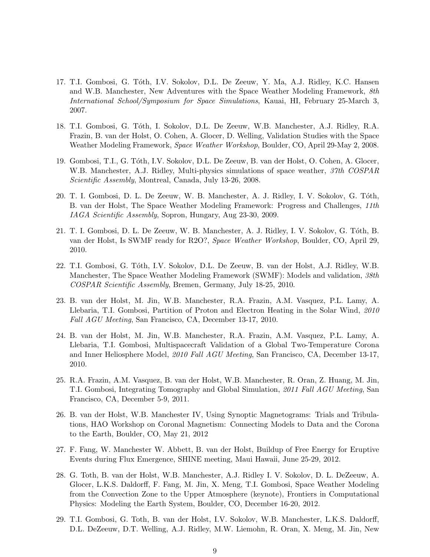- 17. T.I. Gombosi, G. Tóth, I.V. Sokolov, D.L. De Zeeuw, Y. Ma, A.J. Ridley, K.C. Hansen and W.B. Manchester, New Adventures with the Space Weather Modeling Framework, 8th International School/Symposium for Space Simulations, Kauai, HI, February 25-March 3, 2007.
- 18. T.I. Gombosi, G. T´oth, I. Sokolov, D.L. De Zeeuw, W.B. Manchester, A.J. Ridley, R.A. Frazin, B. van der Holst, O. Cohen, A. Glocer, D. Welling, Validation Studies with the Space Weather Modeling Framework, Space Weather Workshop, Boulder, CO, April 29-May 2, 2008.
- 19. Gombosi, T.I., G. T´oth, I.V. Sokolov, D.L. De Zeeuw, B. van der Holst, O. Cohen, A. Glocer, W.B. Manchester, A.J. Ridley, Multi-physics simulations of space weather, 37th COSPAR Scientific Assembly, Montreal, Canada, July 13-26, 2008.
- 20. T. I. Gombosi, D. L. De Zeeuw, W. B. Manchester, A. J. Ridley, I. V. Sokolov, G. Tóth, B. van der Holst, The Space Weather Modeling Framework: Progress and Challenges, 11th IAGA Scientific Assembly, Sopron, Hungary, Aug 23-30, 2009.
- 21. T. I. Gombosi, D. L. De Zeeuw, W. B. Manchester, A. J. Ridley, I. V. Sokolov, G. Tóth, B. van der Holst, Is SWMF ready for R2O?, Space Weather Workshop, Boulder, CO, April 29, 2010.
- 22. T.I. Gombosi, G. Tóth, I.V. Sokolov, D.L. De Zeeuw, B. van der Holst, A.J. Ridley, W.B. Manchester, The Space Weather Modeling Framework (SWMF): Models and validation, 38th COSPAR Scientific Assembly, Bremen, Germany, July 18-25, 2010.
- 23. B. van der Holst, M. Jin, W.B. Manchester, R.A. Frazin, A.M. Vasquez, P.L. Lamy, A. Llebaria, T.I. Gombosi, Partition of Proton and Electron Heating in the Solar Wind, 2010 Fall AGU Meeting, San Francisco, CA, December 13-17, 2010.
- 24. B. van der Holst, M. Jin, W.B. Manchester, R.A. Frazin, A.M. Vasquez, P.L. Lamy, A. Llebaria, T.I. Gombosi, Multispacecraft Validation of a Global Two-Temperature Corona and Inner Heliosphere Model, 2010 Fall AGU Meeting, San Francisco, CA, December 13-17, 2010.
- 25. R.A. Frazin, A.M. Vasquez, B. van der Holst, W.B. Manchester, R. Oran, Z. Huang, M. Jin, T.I. Gombosi, Integrating Tomography and Global Simulation, 2011 Fall AGU Meeting, San Francisco, CA, December 5-9, 2011.
- 26. B. van der Holst, W.B. Manchester IV, Using Synoptic Magnetograms: Trials and Tribulations, HAO Workshop on Coronal Magnetism: Connecting Models to Data and the Corona to the Earth, Boulder, CO, May 21, 2012
- 27. F. Fang, W. Manchester W. Abbett, B. van der Holst, Buildup of Free Energy for Eruptive Events during Flux Emergence, SHINE meeting, Maui Hawaii, June 25-29, 2012.
- 28. G. Toth, B. van der Holst, W.B. Manchester, A.J. Ridley I. V. Sokolov, D. L. DeZeeuw, A. Glocer, L.K.S. Daldorff, F. Fang, M. Jin, X. Meng, T.I. Gombosi, Space Weather Modeling from the Convection Zone to the Upper Atmosphere (keynote), Frontiers in Computational Physics: Modeling the Earth System, Boulder, CO, December 16-20, 2012.
- 29. T.I. Gombosi, G. Toth, B. van der Holst, I.V. Sokolov, W.B. Manchester, L.K.S. Daldorff, D.L. DeZeeuw, D.T. Welling, A.J. Ridley, M.W. Liemohn, R. Oran, X. Meng, M. Jin, New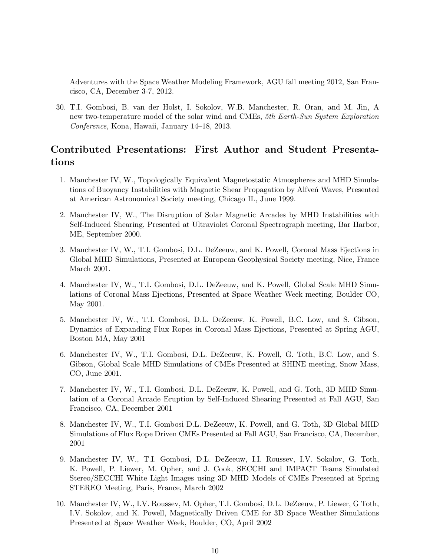Adventures with the Space Weather Modeling Framework, AGU fall meeting 2012, San Francisco, CA, December 3-7, 2012.

30. T.I. Gombosi, B. van der Holst, I. Sokolov, W.B. Manchester, R. Oran, and M. Jin, A new two-temperature model of the solar wind and CMEs, 5th Earth-Sun System Exploration Conference, Kona, Hawaii, January 14–18, 2013.

# Contributed Presentations: First Author and Student Presentations

- 1. Manchester IV, W., Topologically Equivalent Magnetostatic Atmospheres and MHD Simulations of Buoyancy Instabilities with Magnetic Shear Propagation by Alfven Waves, Presented at American Astronomical Society meeting, Chicago IL, June 1999.
- 2. Manchester IV, W., The Disruption of Solar Magnetic Arcades by MHD Instabilities with Self-Induced Shearing, Presented at Ultraviolet Coronal Spectrograph meeting, Bar Harbor, ME, September 2000.
- 3. Manchester IV, W., T.I. Gombosi, D.L. DeZeeuw, and K. Powell, Coronal Mass Ejections in Global MHD Simulations, Presented at European Geophysical Society meeting, Nice, France March 2001.
- 4. Manchester IV, W., T.I. Gombosi, D.L. DeZeeuw, and K. Powell, Global Scale MHD Simulations of Coronal Mass Ejections, Presented at Space Weather Week meeting, Boulder CO, May 2001.
- 5. Manchester IV, W., T.I. Gombosi, D.L. DeZeeuw, K. Powell, B.C. Low, and S. Gibson, Dynamics of Expanding Flux Ropes in Coronal Mass Ejections, Presented at Spring AGU, Boston MA, May 2001
- 6. Manchester IV, W., T.I. Gombosi, D.L. DeZeeuw, K. Powell, G. Toth, B.C. Low, and S. Gibson, Global Scale MHD Simulations of CMEs Presented at SHINE meeting, Snow Mass, CO, June 2001.
- 7. Manchester IV, W., T.I. Gombosi, D.L. DeZeeuw, K. Powell, and G. Toth, 3D MHD Simulation of a Coronal Arcade Eruption by Self-Induced Shearing Presented at Fall AGU, San Francisco, CA, December 2001
- 8. Manchester IV, W., T.I. Gombosi D.L. DeZeeuw, K. Powell, and G. Toth, 3D Global MHD Simulations of Flux Rope Driven CMEs Presented at Fall AGU, San Francisco, CA, December, 2001
- 9. Manchester IV, W., T.I. Gombosi, D.L. DeZeeuw, I.I. Roussev, I.V. Sokolov, G. Toth, K. Powell, P. Liewer, M. Opher, and J. Cook, SECCHI and IMPACT Teams Simulated Stereo/SECCHI White Light Images using 3D MHD Models of CMEs Presented at Spring STEREO Meeting, Paris, France, March 2002
- 10. Manchester IV, W., I.V. Roussev, M. Opher, T.I. Gombosi, D.L. DeZeeuw, P. Liewer, G Toth, I.V. Sokolov, and K. Powell, Magnetically Driven CME for 3D Space Weather Simulations Presented at Space Weather Week, Boulder, CO, April 2002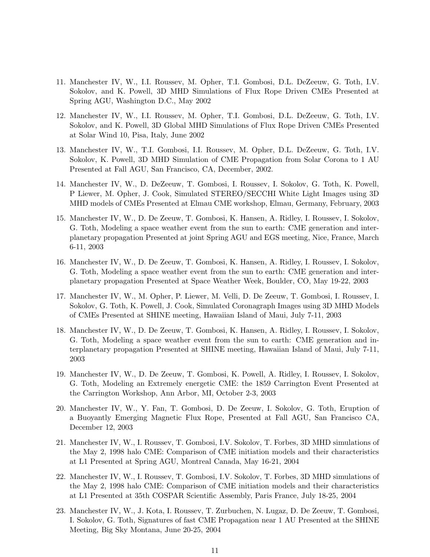- 11. Manchester IV, W., I.I. Roussev, M. Opher, T.I. Gombosi, D.L. DeZeeuw, G. Toth, I.V. Sokolov, and K. Powell, 3D MHD Simulations of Flux Rope Driven CMEs Presented at Spring AGU, Washington D.C., May 2002
- 12. Manchester IV, W., I.I. Roussev, M. Opher, T.I. Gombosi, D.L. DeZeeuw, G. Toth, I.V. Sokolov, and K. Powell, 3D Global MHD Simulations of Flux Rope Driven CMEs Presented at Solar Wind 10, Pisa, Italy, June 2002
- 13. Manchester IV, W., T.I. Gombosi, I.I. Roussev, M. Opher, D.L. DeZeeuw, G. Toth, I.V. Sokolov, K. Powell, 3D MHD Simulation of CME Propagation from Solar Corona to 1 AU Presented at Fall AGU, San Francisco, CA, December, 2002.
- 14. Manchester IV, W., D. DeZeeuw, T. Gombosi, I. Roussev, I. Sokolov, G. Toth, K. Powell, P Liewer, M. Opher, J. Cook, Simulated STEREO/SECCHI White Light Images using 3D MHD models of CMEs Presented at Elmau CME workshop, Elmau, Germany, February, 2003
- 15. Manchester IV, W., D. De Zeeuw, T. Gombosi, K. Hansen, A. Ridley, I. Roussev, I. Sokolov, G. Toth, Modeling a space weather event from the sun to earth: CME generation and interplanetary propagation Presented at joint Spring AGU and EGS meeting, Nice, France, March 6-11, 2003
- 16. Manchester IV, W., D. De Zeeuw, T. Gombosi, K. Hansen, A. Ridley, I. Roussev, I. Sokolov, G. Toth, Modeling a space weather event from the sun to earth: CME generation and interplanetary propagation Presented at Space Weather Week, Boulder, CO, May 19-22, 2003
- 17. Manchester IV, W., M. Opher, P. Liewer, M. Velli, D. De Zeeuw, T. Gombosi, I. Roussev, I. Sokolov, G. Toth, K. Powell, J. Cook, Simulated Coronagraph Images using 3D MHD Models of CMEs Presented at SHINE meeting, Hawaiian Island of Maui, July 7-11, 2003
- 18. Manchester IV, W., D. De Zeeuw, T. Gombosi, K. Hansen, A. Ridley, I. Roussev, I. Sokolov, G. Toth, Modeling a space weather event from the sun to earth: CME generation and interplanetary propagation Presented at SHINE meeting, Hawaiian Island of Maui, July 7-11, 2003
- 19. Manchester IV, W., D. De Zeeuw, T. Gombosi, K. Powell, A. Ridley, I. Roussev, I. Sokolov, G. Toth, Modeling an Extremely energetic CME: the 1859 Carrington Event Presented at the Carrington Workshop, Ann Arbor, MI, October 2-3, 2003
- 20. Manchester IV, W., Y. Fan, T. Gombosi, D. De Zeeuw, I. Sokolov, G. Toth, Eruption of a Buoyantly Emerging Magnetic Flux Rope, Presented at Fall AGU, San Francisco CA, December 12, 2003
- 21. Manchester IV, W., I. Roussev, T. Gombosi, I.V. Sokolov, T. Forbes, 3D MHD simulations of the May 2, 1998 halo CME: Comparison of CME initiation models and their characteristics at L1 Presented at Spring AGU, Montreal Canada, May 16-21, 2004
- 22. Manchester IV, W., I. Roussev, T. Gombosi, I.V. Sokolov, T. Forbes, 3D MHD simulations of the May 2, 1998 halo CME: Comparison of CME initiation models and their characteristics at L1 Presented at 35th COSPAR Scientific Assembly, Paris France, July 18-25, 2004
- 23. Manchester IV, W., J. Kota, I. Roussev, T. Zurbuchen, N. Lugaz, D. De Zeeuw, T. Gombosi, I. Sokolov, G. Toth, Signatures of fast CME Propagation near 1 AU Presented at the SHINE Meeting, Big Sky Montana, June 20-25, 2004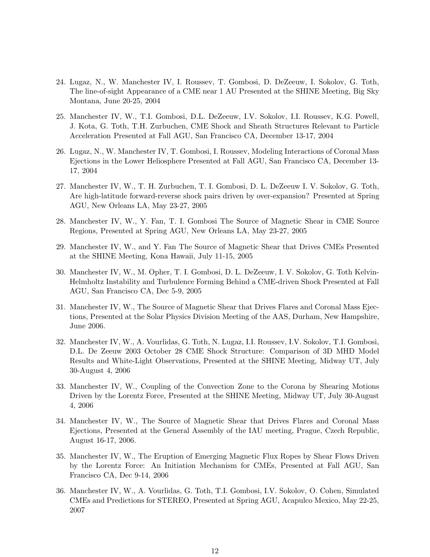- 24. Lugaz, N., W. Manchester IV, I. Roussev, T. Gombosi, D. DeZeeuw, I. Sokolov, G. Toth, The line-of-sight Appearance of a CME near 1 AU Presented at the SHINE Meeting, Big Sky Montana, June 20-25, 2004
- 25. Manchester IV, W., T.I. Gombosi, D.L. DeZeeuw, I.V. Sokolov, I.I. Roussev, K.G. Powell, J. Kota, G. Toth, T.H. Zurbuchen, CME Shock and Sheath Structures Relevant to Particle Acceleration Presented at Fall AGU, San Francisco CA, December 13-17, 2004
- 26. Lugaz, N., W. Manchester IV, T. Gombosi, I. Roussev, Modeling Interactions of Coronal Mass Ejections in the Lower Heliosphere Presented at Fall AGU, San Francisco CA, December 13- 17, 2004
- 27. Manchester IV, W., T. H. Zurbuchen, T. I. Gombosi, D. L. DeZeeuw I. V. Sokolov, G. Toth, Are high-latitude forward-reverse shock pairs driven by over-expansion? Presented at Spring AGU, New Orleans LA, May 23-27, 2005
- 28. Manchester IV, W., Y. Fan, T. I. Gombosi The Source of Magnetic Shear in CME Source Regions, Presented at Spring AGU, New Orleans LA, May 23-27, 2005
- 29. Manchester IV, W., and Y. Fan The Source of Magnetic Shear that Drives CMEs Presented at the SHINE Meeting, Kona Hawaii, July 11-15, 2005
- 30. Manchester IV, W., M. Opher, T. I. Gombosi, D. L. DeZeeuw, I. V. Sokolov, G. Toth Kelvin-Helmholtz Instability and Turbulence Forming Behind a CME-driven Shock Presented at Fall AGU, San Francisco CA, Dec 5-9, 2005
- 31. Manchester IV, W., The Source of Magnetic Shear that Drives Flares and Coronal Mass Ejections, Presented at the Solar Physics Division Meeting of the AAS, Durham, New Hampshire, June 2006.
- 32. Manchester IV, W., A. Vourlidas, G. Toth, N. Lugaz, I.I. Roussev, I.V. Sokolov, T.I. Gombosi, D.L. De Zeeuw 2003 October 28 CME Shock Structure: Comparison of 3D MHD Model Results and White-Light Observations, Presented at the SHINE Meeting, Midway UT, July 30-August 4, 2006
- 33. Manchester IV, W., Coupling of the Convection Zone to the Corona by Shearing Motions Driven by the Lorentz Force, Presented at the SHINE Meeting, Midway UT, July 30-August 4, 2006
- 34. Manchester IV, W., The Source of Magnetic Shear that Drives Flares and Coronal Mass Ejections, Presented at the General Assembly of the IAU meeting, Prague, Czech Republic, August 16-17, 2006.
- 35. Manchester IV, W., The Eruption of Emerging Magnetic Flux Ropes by Shear Flows Driven by the Lorentz Force: An Initiation Mechanism for CMEs, Presented at Fall AGU, San Francisco CA, Dec 9-14, 2006
- 36. Manchester IV, W., A. Vourlidas, G. Toth, T.I. Gombosi, I.V. Sokolov, O. Cohen, Simulated CMEs and Predictions for STEREO, Presented at Spring AGU, Acapulco Mexico, May 22-25, 2007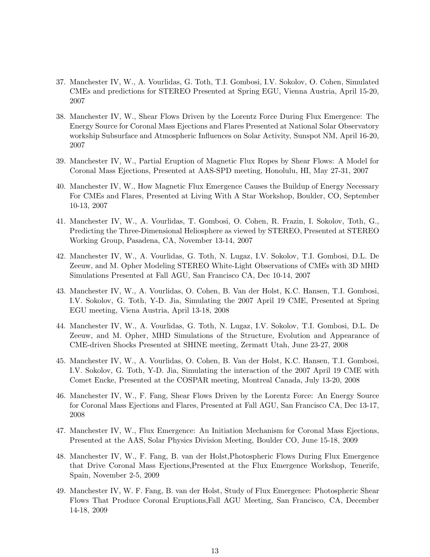- 37. Manchester IV, W., A. Vourlidas, G. Toth, T.I. Gombosi, I.V. Sokolov, O. Cohen, Simulated CMEs and predictions for STEREO Presented at Spring EGU, Vienna Austria, April 15-20, 2007
- 38. Manchester IV, W., Shear Flows Driven by the Lorentz Force During Flux Emergence: The Energy Source for Coronal Mass Ejections and Flares Presented at National Solar Observatory workship Subsurface and Atmospheric Influences on Solar Activity, Sunspot NM, April 16-20, 2007
- 39. Manchester IV, W., Partial Eruption of Magnetic Flux Ropes by Shear Flows: A Model for Coronal Mass Ejections, Presented at AAS-SPD meeting, Honolulu, HI, May 27-31, 2007
- 40. Manchester IV, W., How Magnetic Flux Emergence Causes the Buildup of Energy Necessary For CMEs and Flares, Presented at Living With A Star Workshop, Boulder, CO, September 10-13, 2007
- 41. Manchester IV, W., A. Vourlidas, T. Gombosi, O. Cohen, R. Frazin, I. Sokolov, Toth, G., Predicting the Three-Dimensional Heliosphere as viewed by STEREO, Presented at STEREO Working Group, Pasadena, CA, November 13-14, 2007
- 42. Manchester IV, W., A. Vourlidas, G. Toth, N. Lugaz, I.V. Sokolov, T.I. Gombosi, D.L. De Zeeuw, and M. Opher Modeling STEREO White-Light Observations of CMEs with 3D MHD Simulations Presented at Fall AGU, San Francisco CA, Dec 10-14, 2007
- 43. Manchester IV, W., A. Vourlidas, O. Cohen, B. Van der Holst, K.C. Hansen, T.I. Gombosi, I.V. Sokolov, G. Toth, Y-D. Jia, Simulating the 2007 April 19 CME, Presented at Spring EGU meeting, Viena Austria, April 13-18, 2008
- 44. Manchester IV, W., A. Vourlidas, G. Toth, N. Lugaz, I.V. Sokolov, T.I. Gombosi, D.L. De Zeeuw, and M. Opher, MHD Simulations of the Structure, Evolution and Appearance of CME-driven Shocks Presented at SHINE meeting, Zermatt Utah, June 23-27, 2008
- 45. Manchester IV, W., A. Vourlidas, O. Cohen, B. Van der Holst, K.C. Hansen, T.I. Gombosi, I.V. Sokolov, G. Toth, Y-D. Jia, Simulating the interaction of the 2007 April 19 CME with Comet Encke, Presented at the COSPAR meeting, Montreal Canada, July 13-20, 2008
- 46. Manchester IV, W., F. Fang, Shear Flows Driven by the Lorentz Force: An Energy Source for Coronal Mass Ejections and Flares, Presented at Fall AGU, San Francisco CA, Dec 13-17, 2008
- 47. Manchester IV, W., Flux Emergence: An Initiation Mechanism for Coronal Mass Ejections, Presented at the AAS, Solar Physics Division Meeting, Boulder CO, June 15-18, 2009
- 48. Manchester IV, W., F. Fang, B. van der Holst,Photospheric Flows During Flux Emergence that Drive Coronal Mass Ejections,Presented at the Flux Emergence Workshop, Tenerife, Spain, November 2-5, 2009
- 49. Manchester IV, W. F. Fang, B. van der Holst, Study of Flux Emergence: Photospheric Shear Flows That Produce Coronal Eruptions,Fall AGU Meeting, San Francisco, CA, December 14-18, 2009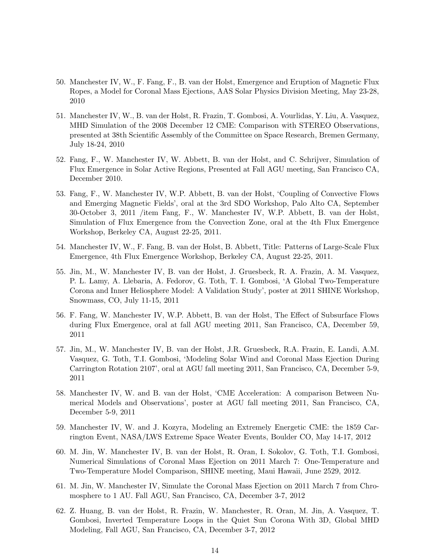- 50. Manchester IV, W., F. Fang, F., B. van der Holst, Emergence and Eruption of Magnetic Flux Ropes, a Model for Coronal Mass Ejections, AAS Solar Physics Division Meeting, May 23-28, 2010
- 51. Manchester IV, W., B. van der Holst, R. Frazin, T. Gombosi, A. Vourlidas, Y. Liu, A. Vasquez, MHD Simulation of the 2008 December 12 CME: Comparison with STEREO Observations, presented at 38th Scientific Assembly of the Committee on Space Research, Bremen Germany, July 18-24, 2010
- 52. Fang, F., W. Manchester IV, W. Abbett, B. van der Holst, and C. Schrijver, Simulation of Flux Emergence in Solar Active Regions, Presented at Fall AGU meeting, San Francisco CA, December 2010.
- 53. Fang, F., W. Manchester IV, W.P. Abbett, B. van der Holst, 'Coupling of Convective Flows and Emerging Magnetic Fields', oral at the 3rd SDO Workshop, Palo Alto CA, September 30-October 3, 2011 /item Fang, F., W. Manchester IV, W.P. Abbett, B. van der Holst, Simulation of Flux Emergence from the Convection Zone, oral at the 4th Flux Emergence Workshop, Berkeley CA, August 22-25, 2011.
- 54. Manchester IV, W., F. Fang, B. van der Holst, B. Abbett, Title: Patterns of Large-Scale Flux Emergence, 4th Flux Emergence Workshop, Berkeley CA, August 22-25, 2011.
- 55. Jin, M., W. Manchester IV, B. van der Holst, J. Gruesbeck, R. A. Frazin, A. M. Vasquez, P. L. Lamy, A. Llebaria, A. Fedorov, G. Toth, T. I. Gombosi, 'A Global Two-Temperature Corona and Inner Heliosphere Model: A Validation Study', poster at 2011 SHINE Workshop, Snowmass, CO, July 11-15, 2011
- 56. F. Fang, W. Manchester IV, W.P. Abbett, B. van der Holst, The Effect of Subsurface Flows during Flux Emergence, oral at fall AGU meeting 2011, San Francisco, CA, December 59, 2011
- 57. Jin, M., W. Manchester IV, B. van der Holst, J.R. Gruesbeck, R.A. Frazin, E. Landi, A.M. Vasquez, G. Toth, T.I. Gombosi, 'Modeling Solar Wind and Coronal Mass Ejection During Carrington Rotation 2107', oral at AGU fall meeting 2011, San Francisco, CA, December 5-9, 2011
- 58. Manchester IV, W. and B. van der Holst, 'CME Acceleration: A comparison Between Numerical Models and Observations', poster at AGU fall meeting 2011, San Francisco, CA, December 5-9, 2011
- 59. Manchester IV, W. and J. Kozyra, Modeling an Extremely Energetic CME: the 1859 Carrington Event, NASA/LWS Extreme Space Weater Events, Boulder CO, May 14-17, 2012
- 60. M. Jin, W. Manchester IV, B. van der Holst, R. Oran, I. Sokolov, G. Toth, T.I. Gombosi, Numerical Simulations of Coronal Mass Ejection on 2011 March 7: One-Temperature and Two-Temperature Model Comparison, SHINE meeting, Maui Hawaii, June 2529, 2012.
- 61. M. Jin, W. Manchester IV, Simulate the Coronal Mass Ejection on 2011 March 7 from Chromosphere to 1 AU. Fall AGU, San Francisco, CA, December 3-7, 2012
- 62. Z. Huang, B. van der Holst, R. Frazin, W. Manchester, R. Oran, M. Jin, A. Vasquez, T. Gombosi, Inverted Temperature Loops in the Quiet Sun Corona With 3D, Global MHD Modeling, Fall AGU, San Francisco, CA, December 3-7, 2012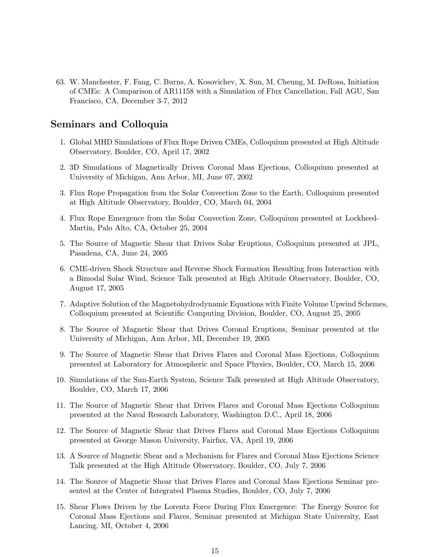63. W. Manchester, F. Fang, C. Burns, A. Kosovichev, X. Sun, M. Cheung, M. DeRosa, Initiation of CMEs: A Comparison of AR11158 with a Simulation of Flux Cancellation, Fall AGU, San Francisco, CA, December 3-7, 2012

### Seminars and Colloquia

- 1. Global MHD Simulations of Flux Rope Driven CMEs, Colloquium presented at High Altitude Observatory, Boulder, CO, April 17, 2002
- 2. 3D Simulations of Magnetically Driven Coronal Mass Ejections, Colloquium presented at University of Michigan, Ann Arbor, MI, June 07, 2002
- 3. Flux Rope Propagation from the Solar Convection Zone to the Earth, Colloquium presented at High Altitude Observatory, Boulder, CO, March 04, 2004
- 4. Flux Rope Emergence from the Solar Convection Zone, Colloquium presented at Lockheed-Martin, Palo Alto, CA, October 25, 2004
- 5. The Source of Magnetic Shear that Drives Solar Eruptions, Colloquium presented at JPL, Pasadena, CA, June 24, 2005
- 6. CME-driven Shock Structure and Reverse Shock Formation Resulting from Interaction with a Bimodal Solar Wind, Science Talk presented at High Altitude Observatory, Boulder, CO, August 17, 2005
- 7. Adaptive Solution of the Magnetohydrodynamic Equations with Finite Volume Upwind Schemes, Colloquium presented at Scientific Computing Division, Boulder, CO, August 25, 2005
- 8. The Source of Magnetic Shear that Drives Coronal Eruptions, Seminar presented at the University of Michigan, Ann Arbor, MI, December 19, 2005
- 9. The Source of Magnetic Shear that Drives Flares and Coronal Mass Ejections, Colloquium presented at Laboratory for Atmospheric and Space Physics, Boulder, CO, March 15, 2006
- 10. Simulations of the Sun-Earth System, Science Talk presented at High Altitude Observatory, Boulder, CO, March 17, 2006
- 11. The Source of Magnetic Shear that Drives Flares and Coronal Mass Ejections Colloquium presented at the Naval Research Laboratory, Washington D.C., April 18, 2006
- 12. The Source of Magnetic Shear that Drives Flares and Coronal Mass Ejections Colloquium presented at George Mason University, Fairfax, VA, April 19, 2006
- 13. A Source of Magnetic Shear and a Mechanism for Flares and Coronal Mass Ejections Science Talk presented at the High Altitude Observatory, Boulder, CO, July 7, 2006
- 14. The Source of Magnetic Shear that Drives Flares and Coronal Mass Ejections Seminar presented at the Center of Integrated Plasma Studies, Boulder, CO, July 7, 2006
- 15. Shear Flows Driven by the Lorentz Force During Flux Emergence: The Energy Source for Coronal Mass Ejections and Flares, Seminar presented at Michigan State University, East Lancing, MI, October 4, 2006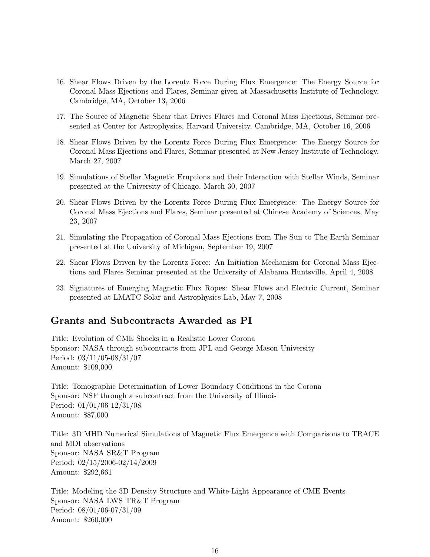- 16. Shear Flows Driven by the Lorentz Force During Flux Emergence: The Energy Source for Coronal Mass Ejections and Flares, Seminar given at Massachusetts Institute of Technology, Cambridge, MA, October 13, 2006
- 17. The Source of Magnetic Shear that Drives Flares and Coronal Mass Ejections, Seminar presented at Center for Astrophysics, Harvard University, Cambridge, MA, October 16, 2006
- 18. Shear Flows Driven by the Lorentz Force During Flux Emergence: The Energy Source for Coronal Mass Ejections and Flares, Seminar presented at New Jersey Institute of Technology, March 27, 2007
- 19. Simulations of Stellar Magnetic Eruptions and their Interaction with Stellar Winds, Seminar presented at the University of Chicago, March 30, 2007
- 20. Shear Flows Driven by the Lorentz Force During Flux Emergence: The Energy Source for Coronal Mass Ejections and Flares, Seminar presented at Chinese Academy of Sciences, May 23, 2007
- 21. Simulating the Propagation of Coronal Mass Ejections from The Sun to The Earth Seminar presented at the University of Michigan, September 19, 2007
- 22. Shear Flows Driven by the Lorentz Force: An Initiation Mechanism for Coronal Mass Ejections and Flares Seminar presented at the University of Alabama Huntsville, April 4, 2008
- 23. Signatures of Emerging Magnetic Flux Ropes: Shear Flows and Electric Current, Seminar presented at LMATC Solar and Astrophysics Lab, May 7, 2008

### Grants and Subcontracts Awarded as PI

Title: Evolution of CME Shocks in a Realistic Lower Corona Sponsor: NASA through subcontracts from JPL and George Mason University Period: 03/11/05-08/31/07 Amount: \$109,000

Title: Tomographic Determination of Lower Boundary Conditions in the Corona Sponsor: NSF through a subcontract from the University of Illinois Period: 01/01/06-12/31/08 Amount: \$87,000

Title: 3D MHD Numerical Simulations of Magnetic Flux Emergence with Comparisons to TRACE and MDI observations Sponsor: NASA SR&T Program Period: 02/15/2006-02/14/2009 Amount: \$292,661

Title: Modeling the 3D Density Structure and White-Light Appearance of CME Events Sponsor: NASA LWS TR&T Program Period: 08/01/06-07/31/09 Amount: \$260,000